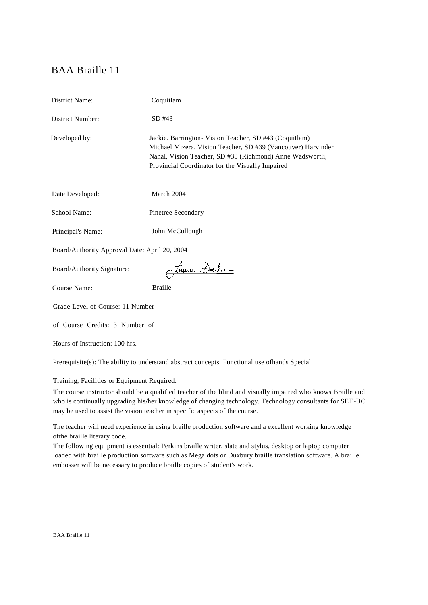# BAA Braille 11

| District Name:                                | Coquitlam                                                                                                                                                                                                                               |  |
|-----------------------------------------------|-----------------------------------------------------------------------------------------------------------------------------------------------------------------------------------------------------------------------------------------|--|
| District Number:                              | $SD$ #43                                                                                                                                                                                                                                |  |
| Developed by:                                 | Jackie. Barrington- Vision Teacher, SD #43 (Coquitlam)<br>Michael Mizera, Vision Teacher, SD #39 (Vancouver) Harvinder<br>Nahal, Vision Teacher, SD #38 (Richmond) Anne Wadswortli,<br>Provincial Coordinator for the Visually Impaired |  |
| Date Developed:                               | March 2004                                                                                                                                                                                                                              |  |
| School Name:                                  | Pinetree Secondary                                                                                                                                                                                                                      |  |
| Principal's Name:                             | John McCullough                                                                                                                                                                                                                         |  |
| Board/Authority Approval Date: April 20, 2004 |                                                                                                                                                                                                                                         |  |
| Board/Authority Signature:                    | <u> jacoban Arlenn</u>                                                                                                                                                                                                                  |  |
| <b>Course Name:</b>                           | <b>Braille</b>                                                                                                                                                                                                                          |  |
| Grade Level of Course: 11 Number              |                                                                                                                                                                                                                                         |  |
| of Course Credits: 3 Number of                |                                                                                                                                                                                                                                         |  |
| Hours of Instruction: 100 hrs.                |                                                                                                                                                                                                                                         |  |

Prerequisite(s): The ability to understand abstract concepts. Functional use ofhands Special

Training, Facilities or Equipment Required:

The course instructor should be a qualified teacher of the blind and visually impaired who knows Braille and who is continually upgrading his/her knowledge of changing technology. Technology consultants for SET-BC may be used to assist the vision teacher in specific aspects of the course.

The teacher will need experience in using braille production software and a excellent working knowledge ofthe braille literary code.

The following equipment is essential: Perkins braille writer, slate and stylus, desktop or laptop computer loaded with braille production software such as Mega dots or Duxbury braille translation software. A braille embosser will be necessary to produce braille copies of student's work.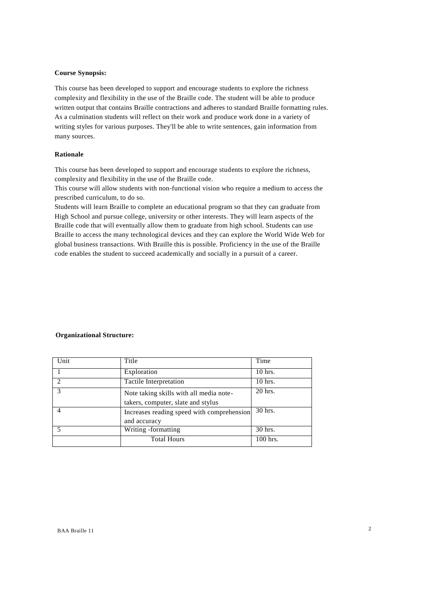#### **Course Synopsis:**

This course has been developed to support and encourage students to explore the richness complexity and flexibility in the use of the Braille code. The student will be able to produce written output that contains Braille contractions and adheres to standard Braille formatting rules. As a culmination students will reflect on their work and produce work done in a variety of writing styles for various purposes. They'll be able to write sentences, gain information from many sources.

## **Rationale**

This course has been developed to support and encourage students to explore the richness, complexity and flexibility in the use of the Braille code.

This course will allow students with non-functional vision who require a medium to access the prescribed curriculum, to do so.

Students will learn Braille to complete an educational program so that they can graduate from High School and pursue college, university or other interests. They will learn aspects of the Braille code that will eventually allow them to graduate from high school. Students can use Braille to access the many technological devices and they can explore the World Wide Web for global business transactions. With Braille this is possible. Proficiency in the use of the Braille code enables the student to succeed academically and socially in a pursuit of a career.

### **Organizational Structure:**

| Unit | Title                                      | Time      |
|------|--------------------------------------------|-----------|
|      | Exploration                                | $10$ hrs. |
|      | Tactile Interpretation                     | $10$ hrs. |
|      | Note taking skills with all media note-    | 20 hrs.   |
|      | takers, computer, slate and stylus         |           |
|      | Increases reading speed with comprehension | 30 hrs.   |
|      | and accuracy                               |           |
|      | Writing -formatting                        | 30 hrs.   |
|      | <b>Total Hours</b>                         | 100 hrs.  |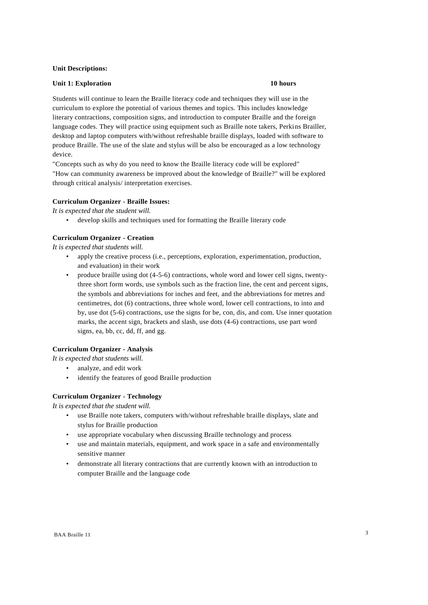#### **Unit Descriptions:**

## **Unit 1: Exploration 10 hours**

Students will continue to learn the Braille literacy code and techniques they will use in the curriculum to explore the potential of various themes and topics. This includes knowledge literary contractions, composition signs, and introduction to computer Braille and the foreign language codes. They will practice using equipment such as Braille note takers, Perkins Brailler, desktop and laptop computers with/without refreshable braille displays, loaded with software to produce Braille. The use of the slate and stylus will be also be encouraged as a low technology device.

"Concepts such as why do you need to know the Braille literacy code will be explored" "How can community awareness be improved about the knowledge of Braille?" will be explored through critical analysis/ interpretation exercises.

#### **Curriculum Organizer - Braille Issues:**

*It is expected that the student will.*

• develop skills and techniques used for formatting the Braille literary code

#### **Curriculum Organizer - Creation**

*It is expected that students will.*

- apply the creative process (i.e., perceptions, exploration, experimentation, production, and evaluation) in their work
- produce braille using dot (4-5-6) contractions, whole word and lower cell signs, twentythree short form words, use symbols such as the fraction line, the cent and percent signs, the symbols and abbreviations for inches and feet, and the abbreviations for metres and centimetres, dot (6) contractions, three whole word, lower cell contractions, to into and by, use dot (5-6) contractions, use the signs for be, con, dis, and com. Use inner quotation marks, the accent sign, brackets and slash, use dots (4-6) contractions, use part word signs, ea, bb, cc, dd, ff, and gg.

## **Curriculum Organizer - Analysis**

*It is expected that students will.*

- analyze, and edit work
- identify the features of good Braille production

### **Curriculum Organizer - Technology**

*It is expected that the student will.*

- use Braille note takers, computers with/without refreshable braille displays, slate and stylus for Braille production
- use appropriate vocabulary when discussing Braille technology and process
- use and maintain materials, equipment, and work space in a safe and environmentally sensitive manner
- demonstrate all literary contractions that are currently known with an introduction to computer Braille and the language code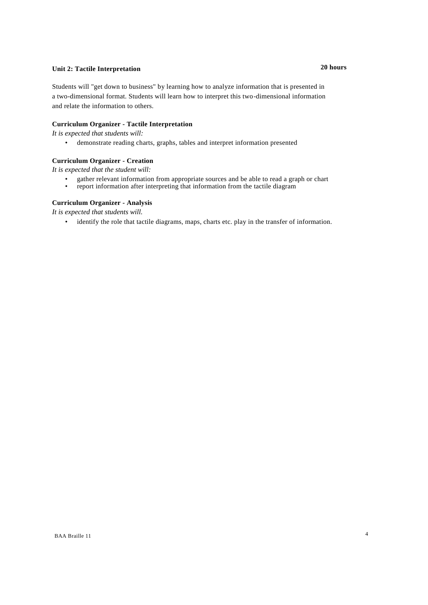## **Unit 2: Tactile Interpretation 20 hours**

Students will "get down to business" by learning how to analyze information that is presented in a two-dimensional format. Students will learn how to interpret this two-dimensional information and relate the information to others.

## **Curriculum Organizer - Tactile Interpretation**

*It is expected that students will:*

• demonstrate reading charts, graphs, tables and interpret information presented

## **Curriculum Organizer - Creation**

*It is expected that the student will:*

- gather relevant information from appropriate sources and be able to read a graph or chart report information after interpreting that information from the tactile diagram
- report information after interpreting that information from the tactile diagram

## **Curriculum Organizer - Analysis**

*It is expected that students will.*

• identify the role that tactile diagrams, maps, charts etc. play in the transfer of information.

#### BAA Braille 11 4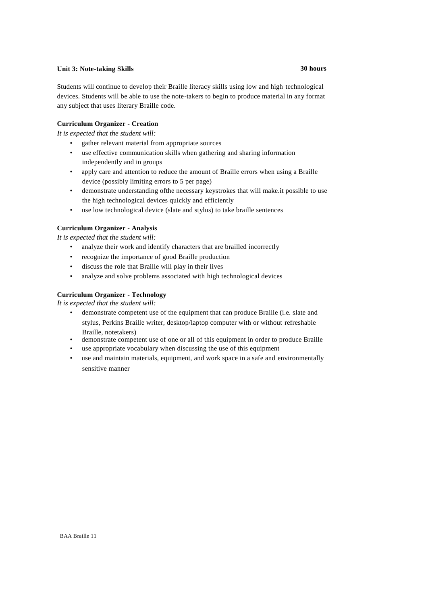## **Unit 3: Note-taking Skills 30 hours**

Students will continue to develop their Braille literacy skills using low and high technological devices. Students will be able to use the note-takers to begin to produce material in any format any subject that uses literary Braille code.

## **Curriculum Organizer - Creation**

*It is expected that the student will:*

- gather relevant material from appropriate sources
- use effective communication skills when gathering and sharing information independently and in groups
- apply care and attention to reduce the amount of Braille errors when using a Braille device (possibly limiting errors to 5 per page)
- demonstrate understanding ofthe necessary keystrokes that will make.it possible to use the high technological devices quickly and efficiently
- use low technological device (slate and stylus) to take braille sentences

## **Curriculum Organizer - Analysis**

*It is expected that the student will:*

- analyze their work and identify characters that are brailled incorrectly
- recognize the importance of good Braille production
- discuss the role that Braille will play in their lives
- analyze and solve problems associated with high technological devices

## **Curriculum Organizer - Technology**

*It is expected that the student will:*

- demonstrate competent use of the equipment that can produce Braille (i.e. slate and stylus, Perkins Braille writer, desktop/laptop computer with or without refreshable Braille, notetakers)
- demonstrate competent use of one or all of this equipment in order to produce Braille
- use appropriate vocabulary when discussing the use of this equipment
- use and maintain materials, equipment, and work space in a safe and environmentally sensitive manner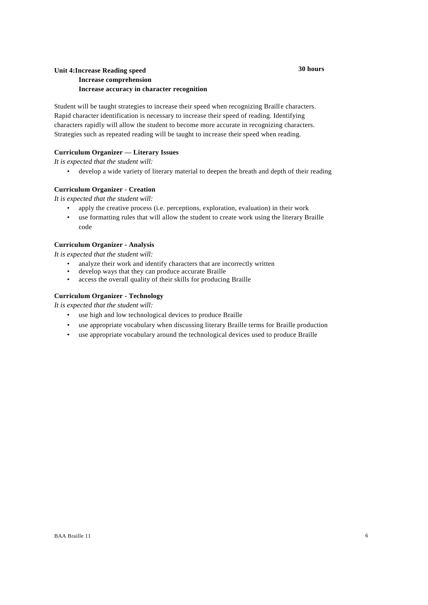#### **30 hours**

## **Unit 4:Increase Reading speed Increase comprehension Increase accuracy in character recognition**

Student will be taught strategies to increase their speed when recognizing Braille characters. Rapid character identification is necessary to increase their speed of reading. Identifying characters rapidly will allow the student to become more accurate in recognizing characters. Strategies such as repeated reading will be taught to increase their speed when reading.

## **Curriculum Organizer — Literary Issues**

*It is expected that the student will:*

• develop a wide variety of literary material to deepen the breath and depth of their reading

## **Curriculum Organizer - Creation**

*It is expected that the student will:*

- apply the creative process (i.e. perceptions, exploration, evaluation) in their work
- use formatting rules that will allow the student to create work using the literary Braille code

## **Curriculum Organizer - Analysis**

*It is expected that the student will:*

- analyze their work and identify characters that are incorrectly written
- develop ways that they can produce accurate Braille
- access the overall quality of their skills for producing Braille

## **Curriculum Organizer - Technology**

*It is expected that the student will:*

- use high and low technological devices to produce Braille
- use appropriate vocabulary when discussing literary Braille terms for Braille production
- use appropriate vocabulary around the technological devices used to produce Braille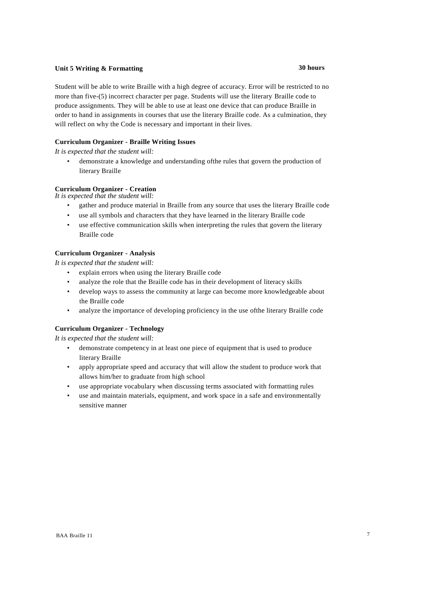## **Unit 5 Writing & Formatting 30 hours**

## Student will be able to write Braille with a high degree of accuracy. Error will be restricted to no more than five-(5) incorrect character per page. Students will use the literary Braille code to produce assignments. They will be able to use at least one device that can produce Braille in order to hand in assignments in courses that use the literary Braille code. As a culmination, they will reflect on why the Code is necessary and important in their lives.

## **Curriculum Organizer - Braille Writing Issues**

*It is expected that the student will:*

• demonstrate a knowledge and understanding ofthe rules that govern the production of literary Braille

## **Curriculum Organizer - Creation**

*It is expected that the student will:*

- gather and produce material in Braille from any source that uses the literary Braille code
- use all symbols and characters that they have learned in the literary Braille code
- use effective communication skills when interpreting the rules that govern the literary Braille code

## **Curriculum Organizer - Analysis**

*It is expected that the student will:*

- explain errors when using the literary Braille code
- analyze the role that the Braille code has in their development of literacy skills
- develop ways to assess the community at large can become more knowledgeable about the Braille code
- analyze the importance of developing proficiency in the use ofthe literary Braille code

## **Curriculum Organizer - Technology**

*It is expected that the student will:*

- demonstrate competency in at least one piece of equipment that is used to produce literary Braille
- apply appropriate speed and accuracy that will allow the student to produce work that allows him/her to graduate from high school
- use appropriate vocabulary when discussing terms associated with formatting rules
- use and maintain materials, equipment, and work space in a safe and environmentally sensitive manner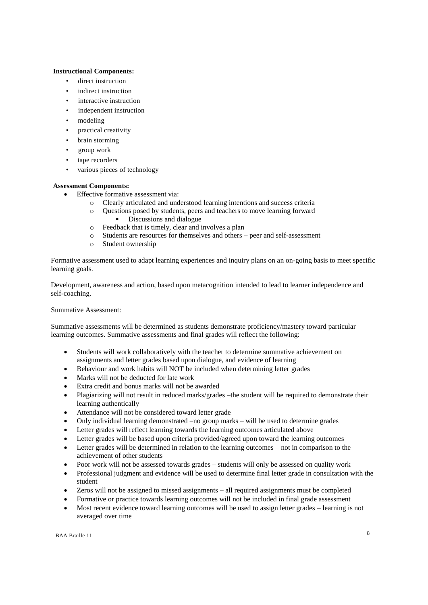## **Instructional Components:**

- direct instruction
- indirect instruction
- interactive instruction
- independent instruction
- modeling
- practical creativity
- brain storming
- group work
- tape recorders
- various pieces of technology

## **Assessment Components:**

- Effective formative assessment via:
	- o Clearly articulated and understood learning intentions and success criteria
	- o Questions posed by students, peers and teachers to move learning forward Discussions and dialogue
	- o Feedback that is timely, clear and involves a plan
	- o Students are resources for themselves and others peer and self-assessment
	- o Student ownership

Formative assessment used to adapt learning experiences and inquiry plans on an on-going basis to meet specific learning goals.

Development, awareness and action, based upon metacognition intended to lead to learner independence and self-coaching.

## Summative Assessment:

Summative assessments will be determined as students demonstrate proficiency/mastery toward particular learning outcomes. Summative assessments and final grades will reflect the following:

- Students will work collaboratively with the teacher to determine summative achievement on assignments and letter grades based upon dialogue, and evidence of learning
- Behaviour and work habits will NOT be included when determining letter grades
- Marks will not be deducted for late work
- Extra credit and bonus marks will not be awarded
- Plagiarizing will not result in reduced marks/grades –the student will be required to demonstrate their learning authentically
- Attendance will not be considered toward letter grade
- Only individual learning demonstrated –no group marks will be used to determine grades
- Letter grades will reflect learning towards the learning outcomes articulated above
- Letter grades will be based upon criteria provided/agreed upon toward the learning outcomes
- Letter grades will be determined in relation to the learning outcomes not in comparison to the achievement of other students
- Poor work will not be assessed towards grades students will only be assessed on quality work
- Professional judgment and evidence will be used to determine final letter grade in consultation with the student
- Zeros will not be assigned to missed assignments all required assignments must be completed
- Formative or practice towards learning outcomes will not be included in final grade assessment
- Most recent evidence toward learning outcomes will be used to assign letter grades learning is not averaged over time

BAA Braille 11 8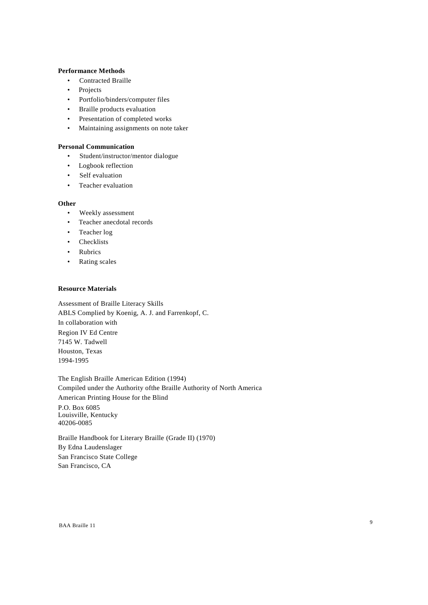## **Performance Methods**

- Contracted Braille
- Projects
- Portfolio/binders/computer files
- Braille products evaluation
- Presentation of completed works
- Maintaining assignments on note taker

## **Personal Communication**

- Student/instructor/mentor dialogue
- Logbook reflection
- Self evaluation
- Teacher evaluation

### **Other**

- Weekly assessment
- Teacher anecdotal records
- Teacher log
- Checklists
- Rubrics
- Rating scales

## **Resource Materials**

Assessment of Braille Literacy Skills ABLS Complied by Koenig, A. J. and Farrenkopf, C. In collaboration with Region IV Ed Centre 7145 W. Tadwell Houston, Texas 1994-1995

The English Braille American Edition (1994) Compiled under the Authority ofthe Braille Authority of North America American Printing House for the Blind P.O. Box 6085 Louisville, Kentucky 40206-0085

Braille Handbook for Literary Braille (Grade II) (1970) By Edna Laudenslager San Francisco State College San Francisco, CA